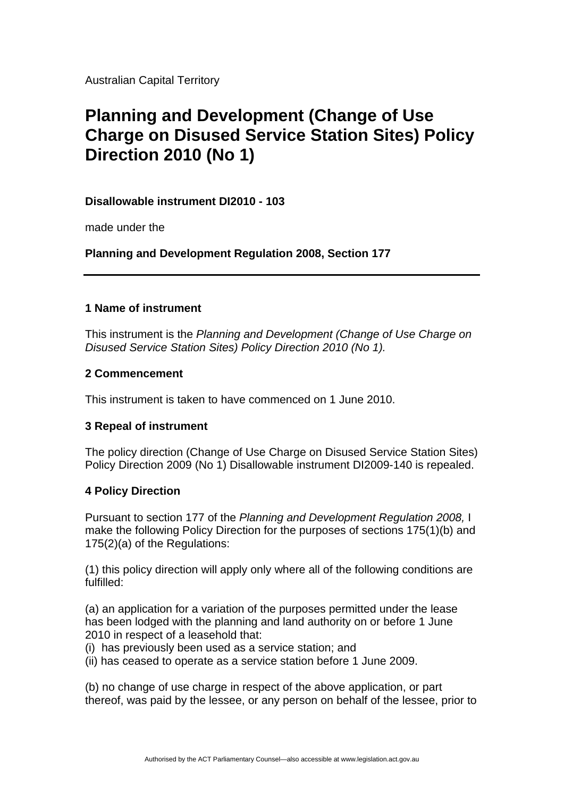Australian Capital Territory

# **Planning and Development (Change of Use Charge on Disused Service Station Sites) Policy Direction 2010 (No 1)**

### **Disallowable instrument DI2010 - 103**

made under the

**Planning and Development Regulation 2008, Section 177** 

## **1 Name of instrument**

This instrument is the *Planning and Development (Change of Use Charge on Disused Service Station Sites) Policy Direction 2010 (No 1).*

### **2 Commencement**

This instrument is taken to have commenced on 1 June 2010.

### **3 Repeal of instrument**

The policy direction (Change of Use Charge on Disused Service Station Sites) Policy Direction 2009 (No 1) Disallowable instrument DI2009-140 is repealed.

### **4 Policy Direction**

Pursuant to section 177 of the *Planning and Development Regulation 2008,* I make the following Policy Direction for the purposes of sections 175(1)(b) and 175(2)(a) of the Regulations:

(1) this policy direction will apply only where all of the following conditions are fulfilled:

(a) an application for a variation of the purposes permitted under the lease has been lodged with the planning and land authority on or before 1 June 2010 in respect of a leasehold that:

(i) has previously been used as a service station; and

(ii) has ceased to operate as a service station before 1 June 2009.

(b) no change of use charge in respect of the above application, or part thereof, was paid by the lessee, or any person on behalf of the lessee, prior to